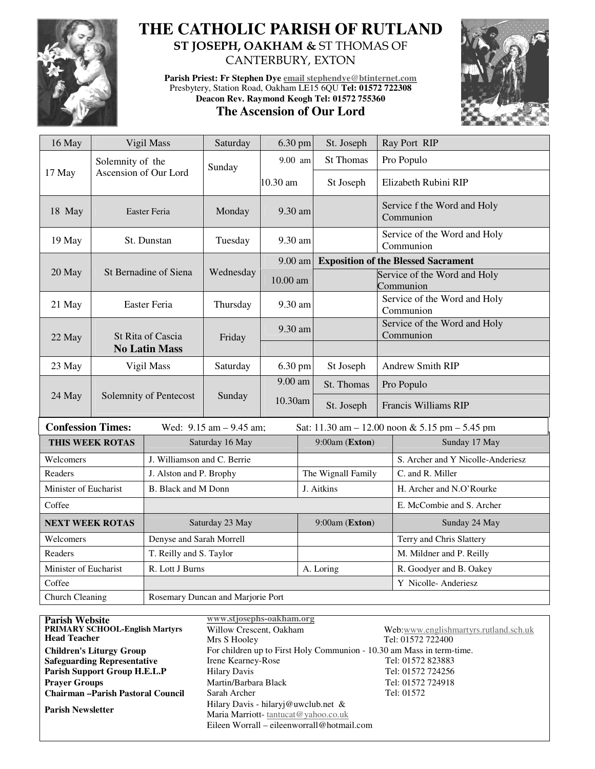

# **THE CATHOLIC PARISH OF RUTLAND ST JOSEPH, OAKHAM &** ST THOMAS OF CANTERBURY, EXTON

**Parish Priest: Fr Stephen Dye email stephendye@btinternet.com** Presbytery, Station Road, Oakham LE15 6QU **Tel: 01572 722308 Deacon Rev. Raymond Keogh Tel: 01572 755360** 

## **The Ascension of Our Lord**



| 16 May                                                                                                          |                        | Vigil Mass<br>Saturday            |                | 6.30 pm  |                    | St. Joseph                                 |                                           | Ray Port RIP                             |  |
|-----------------------------------------------------------------------------------------------------------------|------------------------|-----------------------------------|----------------|----------|--------------------|--------------------------------------------|-------------------------------------------|------------------------------------------|--|
| Solemnity of the<br>Ascension of Our Lord<br>17 May                                                             |                        |                                   | Sunday         | 9.00 am  |                    | <b>St Thomas</b>                           |                                           | Pro Populo                               |  |
|                                                                                                                 |                        |                                   |                | 10.30 am |                    | St Joseph                                  | Elizabeth Rubini RIP                      |                                          |  |
| 18 May                                                                                                          | Easter Feria           |                                   | Monday         | 9.30 am  |                    |                                            |                                           | Service f the Word and Holy<br>Communion |  |
| 19 May                                                                                                          | St. Dunstan            |                                   | Tuesday        | 9.30 am  |                    |                                            | Service of the Word and Holy<br>Communion |                                          |  |
|                                                                                                                 |                        |                                   |                | 9.00 am  |                    | <b>Exposition of the Blessed Sacrament</b> |                                           |                                          |  |
| 20 May                                                                                                          |                        | St Bernadine of Siena             | Wednesday      | 10.00 am |                    |                                            | Service of the Word and Holy<br>Communion |                                          |  |
| 21 May                                                                                                          | <b>Easter Feria</b>    |                                   | Thursday       | 9.30 am  |                    |                                            | Service of the Word and Holy<br>Communion |                                          |  |
| 22 May                                                                                                          |                        | St Rita of Cascia                 | Friday         | 9.30 am  |                    |                                            | Service of the Word and Holy<br>Communion |                                          |  |
|                                                                                                                 | <b>No Latin Mass</b>   |                                   |                |          |                    |                                            |                                           |                                          |  |
| 23 May                                                                                                          | Vigil Mass             |                                   | Saturday       | 6.30 pm  |                    | St Joseph                                  | <b>Andrew Smith RIP</b>                   |                                          |  |
|                                                                                                                 |                        |                                   | Sunday         | 9.00 am  |                    | St. Thomas                                 | Pro Populo                                |                                          |  |
| 24 May                                                                                                          |                        | Solemnity of Pentecost            |                | 10.30am  |                    | St. Joseph                                 | Francis Williams RIP                      |                                          |  |
| <b>Confession Times:</b><br>Wed: $9.15$ am $- 9.45$ am;<br>Sat: $11.30$ am $- 12.00$ noon & 5.15 pm $- 5.45$ pm |                        |                                   |                |          |                    |                                            |                                           |                                          |  |
|                                                                                                                 | <b>THIS WEEK ROTAS</b> | Saturday 16 May                   | 9:00am (Exton) |          |                    | Sunday 17 May                              |                                           |                                          |  |
| Welcomers                                                                                                       |                        | J. Williamson and C. Berrie       |                |          |                    |                                            | S. Archer and Y Nicolle-Anderiesz         |                                          |  |
| Readers                                                                                                         |                        | J. Alston and P. Brophy           |                |          | The Wignall Family |                                            | C. and R. Miller                          |                                          |  |
| Minister of Eucharist                                                                                           |                        | B. Black and M Donn               |                |          | J. Aitkins         |                                            |                                           | H. Archer and N.O'Rourke                 |  |
| Coffee                                                                                                          |                        |                                   |                |          |                    |                                            |                                           | E. McCombie and S. Archer                |  |
| <b>NEXT WEEK ROTAS</b>                                                                                          |                        | Saturday 23 May                   |                |          |                    | 9:00am (Exton)                             |                                           | Sunday 24 May                            |  |
| Welcomers                                                                                                       |                        | Denyse and Sarah Morrell          |                |          |                    |                                            |                                           | Terry and Chris Slattery                 |  |
| Readers                                                                                                         |                        | T. Reilly and S. Taylor           |                |          |                    |                                            |                                           | M. Mildner and P. Reilly                 |  |
| Minister of Eucharist                                                                                           |                        | R. Lott J Burns                   |                |          |                    | A. Loring                                  |                                           | R. Goodyer and B. Oakey                  |  |
| Coffee                                                                                                          |                        |                                   |                |          |                    |                                            | Y Nicolle-Anderiesz                       |                                          |  |
| Church Cleaning                                                                                                 |                        | Rosemary Duncan and Marjorie Port |                |          |                    |                                            |                                           |                                          |  |

| <b>Parish Website</b>                   | www.stjosephs-oakham.org                                              |                                       |  |  |  |  |
|-----------------------------------------|-----------------------------------------------------------------------|---------------------------------------|--|--|--|--|
| <b>PRIMARY SCHOOL-English Martyrs</b>   | Willow Crescent, Oakham                                               | Web:www.englishmartyrs.rutland.sch.uk |  |  |  |  |
| <b>Head Teacher</b>                     | Mrs S Hooley                                                          | Tel: 01572 722400                     |  |  |  |  |
| <b>Children's Liturgy Group</b>         | For children up to First Holy Communion - 10.30 am Mass in term-time. |                                       |  |  |  |  |
| <b>Safeguarding Representative</b>      | Irene Kearney-Rose                                                    | Tel: 01572 823883                     |  |  |  |  |
| Parish Support Group H.E.L.P            | <b>Hilary Davis</b>                                                   | Tel: 01572 724256                     |  |  |  |  |
| <b>Praver Groups</b>                    | Martin/Barbara Black                                                  | Tel: 01572 724918                     |  |  |  |  |
| <b>Chairman-Parish Pastoral Council</b> | Sarah Archer                                                          | Tel: 01572                            |  |  |  |  |
| <b>Parish Newsletter</b>                | Hilary Davis - hilaryj@uwclub.net &                                   |                                       |  |  |  |  |
|                                         | Maria Marriott-tantucat@yahoo.co.uk                                   |                                       |  |  |  |  |
|                                         | Eileen Worrall – eileenworrall@hotmail.com                            |                                       |  |  |  |  |